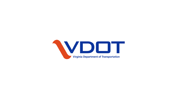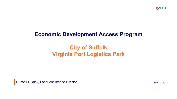

### **Economic Development Access Program**

# **City of Suffolk Virginia Port Logistics Park**

Russell Dudley, Local Assistance Division **May 17, 2022** May 17, 2022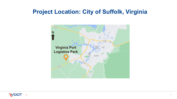## **Project Location: City of Suffolk, Virginia**



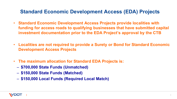#### **Standard Economic Development Access (EDA) Projects**

- **Standard Economic Development Access Projects provide localities with funding for access roads to qualifying businesses that have submitted capital investment documentation prior to the EDA Project's approval by the CTB**
- **Localities are not required to provide a Surety or Bond for Standard Economic Development Access Projects**
- **The maximum allocation for Standard EDA Projects is:**
	- **\$700,000 State Funds (Unmatched)**
	- **\$150,000 State Funds (Matched)**
	- **\$150,000 Local Funds (Required Local Match)**

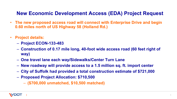### **New Economic Development Access (EDA) Project Request**

- **The new proposed access road will connect with Enterprise Drive and begin 0.60 miles north of US Highway 58 (Holland Rd.)**
- **Project details:**
	- **Project ECON-133-483**
	- **Construction of 0.17 mile long, 40-foot wide access road (60 feet right of way)**
	- **One travel lane each way/Sidewalks/Center Turn Lane**
	- **New roadway will provide access to a 1.5 million sq. ft. import center**
	- **City of Suffolk had provided a total construction estimate of \$721,000**
	- **Proposed Project Allocation: \$710,500** 
		- **(\$700,000 unmatched, \$10,500 matched)**

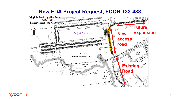#### **New EDA Project Request, ECON-133-483**

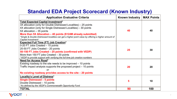### **Standard EDA Project Scorecard (Known Industry)**

| <b>Application Evaluative Criteria</b>                                                                                                                                                                                                                                                                                                                                                                                  | <b>Known Industry</b> | <b>MAX Points</b> |
|-------------------------------------------------------------------------------------------------------------------------------------------------------------------------------------------------------------------------------------------------------------------------------------------------------------------------------------------------------------------------------------------------------------------------|-----------------------|-------------------|
| <b>Total Expected Capital Investment*</b><br>3X allocation (only for Double Distressed Localities) – 25 points<br>4X allocation (only for Single Distressed Localities) – 30 points<br>5X allocation - 35 points<br>More than 5X Allocation $-$ 40 points (\$124M already submitted)<br>*Single & Double Distressed localities can get a higher point value by offering a higher amount of<br><b>Capital Investment</b> | 40                    | 40                |
| <b>Expected Full Time (FT) Job Creation*</b><br>0-20 FT Jobs Created - 15 points<br>20-50 FT Jobs Created - 20 points<br>50-150 FT Jobs Created - 25 points (confirmed with VEDP)<br>More than 150 FT jobs Created $-30$ points<br>*VEDP to provide support with verifying the full time job creation numbers                                                                                                           | 25                    | 30                |
| <b>Need for Access Road*</b><br>Existing roadway to the site needs to be improved $-10$ points<br>Traffic impact analysis supports the proposed project – 10 points<br>or<br>No existing roadway provides access to the site - 20 points                                                                                                                                                                                | 20                    | 20                |
| Locality's Level of Distress*<br><b>Single Distressed - 5 points</b><br>Double Distressed - 10 points<br>*As defined by the VEDP's Commonwealth Opportunity Fund                                                                                                                                                                                                                                                        | 5                     | 10                |
| <b>TOTAL</b>                                                                                                                                                                                                                                                                                                                                                                                                            | 90                    | 100               |